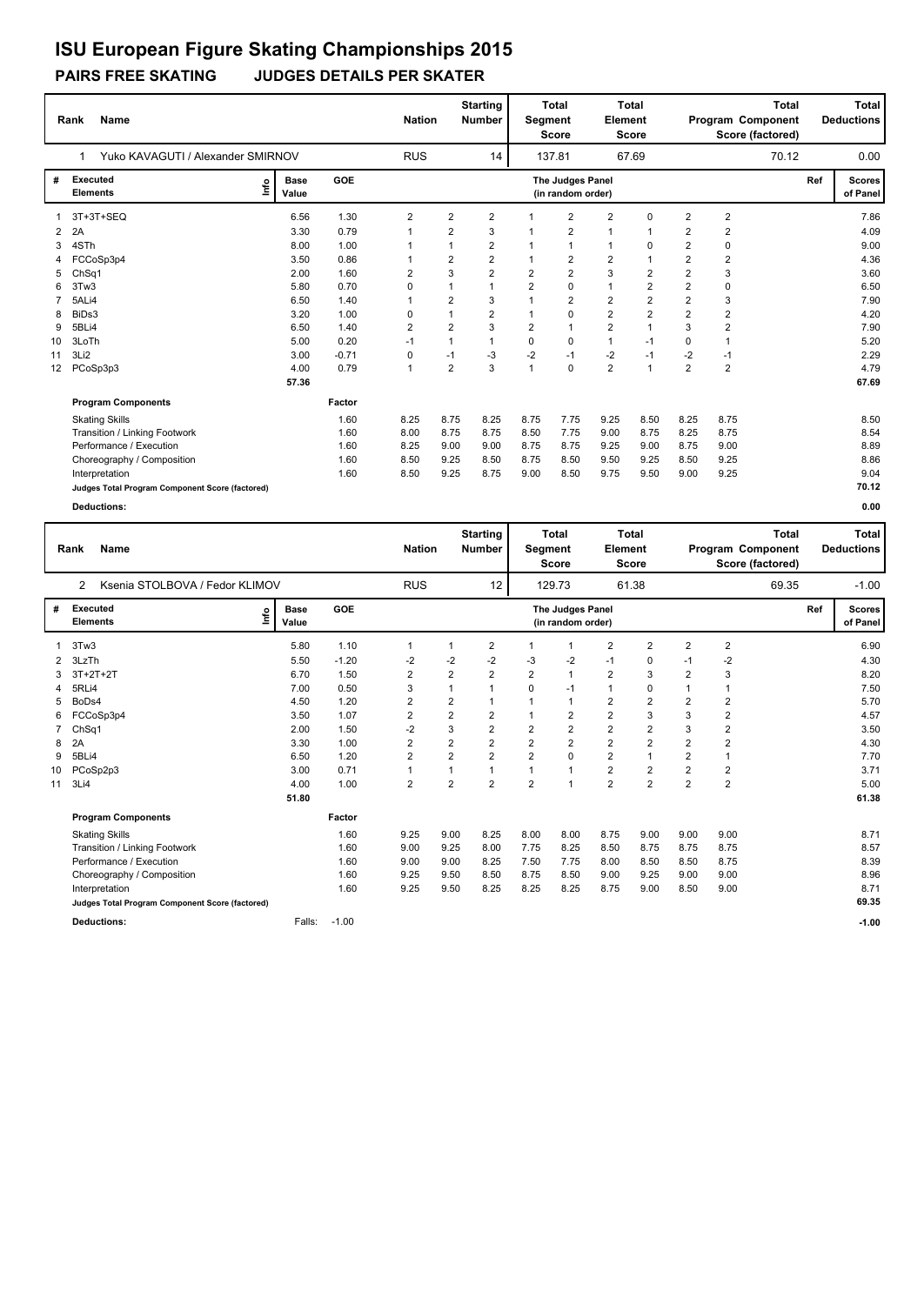### **PAIRS FREE SKATING JUDGES DETAILS PER SKATER**

|                 | <b>Name</b><br>Rank                             |                      | <b>Nation</b> |                | <b>Starting</b><br>Number | <b>Segment</b> | Total<br><b>Score</b> | <b>Element</b>                        | <b>Total</b><br>Score |                |                | <b>Total</b><br><b>Program Component</b><br>Score (factored) |       | Total<br><b>Deductions</b> |                           |
|-----------------|-------------------------------------------------|----------------------|---------------|----------------|---------------------------|----------------|-----------------------|---------------------------------------|-----------------------|----------------|----------------|--------------------------------------------------------------|-------|----------------------------|---------------------------|
|                 | Yuko KAVAGUTI / Alexander SMIRNOV<br>1          |                      |               | <b>RUS</b>     |                           | 14             |                       | 137.81                                |                       | 67.69          |                |                                                              | 70.12 |                            | 0.00                      |
| #               | <b>Executed</b><br>lnfo<br><b>Elements</b>      | <b>Base</b><br>Value | GOE           |                |                           |                |                       | The Judges Panel<br>(in random order) |                       |                |                |                                                              |       | Ref                        | <b>Scores</b><br>of Panel |
|                 | 3T+3T+SEQ                                       | 6.56                 | 1.30          | $\overline{2}$ | $\overline{2}$            | $\overline{2}$ |                       | $\overline{2}$                        | $\overline{2}$        | $\Omega$       | $\overline{2}$ | $\overline{2}$                                               |       |                            | 7.86                      |
| 2               | 2A                                              | 3.30                 | 0.79          | $\mathbf 1$    | $\overline{2}$            | 3              |                       | $\overline{2}$                        | $\mathbf{1}$          |                | $\overline{2}$ | 2                                                            |       |                            | 4.09                      |
| 3               | 4STh                                            | 8.00                 | 1.00          |                | 1                         | 2              |                       |                                       | $\mathbf{1}$          | 0              | 2              | 0                                                            |       |                            | 9.00                      |
|                 | FCCoSp3p4                                       | 3.50                 | 0.86          |                | $\overline{2}$            | 2              |                       | 2                                     | $\overline{2}$        |                | 2              | 2                                                            |       |                            | 4.36                      |
| 5               | ChSq1                                           | 2.00                 | 1.60          | 2              | 3                         | 2              | 2                     | $\overline{2}$                        | 3                     | 2              | $\overline{2}$ | 3                                                            |       |                            | 3.60                      |
|                 | 3Tw3                                            | 5.80                 | 0.70          | 0              | 1                         |                | $\overline{2}$        | 0                                     | $\mathbf{1}$          | 2              | 2              | 0                                                            |       |                            | 6.50                      |
|                 | 5ALi4                                           | 6.50                 | 1.40          |                | $\overline{2}$            | 3              |                       | 2                                     | 2                     | $\overline{2}$ | $\overline{2}$ | 3                                                            |       |                            | 7.90                      |
| 8               | BiDs3                                           | 3.20                 | 1.00          | 0              | 1                         | 2              |                       | $\Omega$                              | $\overline{2}$        | 2              | $\overline{2}$ | 2                                                            |       |                            | 4.20                      |
| 9               | 5BLi4                                           | 6.50                 | 1.40          | $\overline{2}$ | $\overline{2}$            | 3              | 2                     |                                       | $\overline{2}$        | $\overline{1}$ | 3              | $\overline{2}$                                               |       |                            | 7.90                      |
| 10              | 3LoTh                                           | 5.00                 | 0.20          | $-1$           | $\overline{1}$            | 1              | 0                     | $\Omega$                              | $\mathbf{1}$          | $-1$           | $\Omega$       | 1                                                            |       |                            | 5.20                      |
| 11              | 3Li <sub>2</sub>                                | 3.00                 | $-0.71$       | $\mathbf 0$    | $-1$                      | $-3$           | $-2$                  | $-1$                                  | $-2$                  | $-1$           | -2             | $-1$                                                         |       |                            | 2.29                      |
| 12 <sup>2</sup> | PCoSp3p3                                        | 4.00                 | 0.79          | $\overline{1}$ | $\overline{2}$            | 3              |                       | $\Omega$                              | $\overline{2}$        | $\overline{1}$ | $\overline{2}$ | $\overline{2}$                                               |       |                            | 4.79                      |
|                 |                                                 | 57.36                |               |                |                           |                |                       |                                       |                       |                |                |                                                              |       |                            | 67.69                     |
|                 | <b>Program Components</b>                       |                      | Factor        |                |                           |                |                       |                                       |                       |                |                |                                                              |       |                            |                           |
|                 | <b>Skating Skills</b>                           |                      | 1.60          | 8.25           | 8.75                      | 8.25           | 8.75                  | 7.75                                  | 9.25                  | 8.50           | 8.25           | 8.75                                                         |       |                            | 8.50                      |
|                 | Transition / Linking Footwork                   |                      | 1.60          | 8.00           | 8.75                      | 8.75           | 8.50                  | 7.75                                  | 9.00                  | 8.75           | 8.25           | 8.75                                                         |       |                            | 8.54                      |
|                 | Performance / Execution                         |                      | 1.60          | 8.25           | 9.00                      | 9.00           | 8.75                  | 8.75                                  | 9.25                  | 9.00           | 8.75           | 9.00                                                         |       |                            | 8.89                      |
|                 | Choreography / Composition                      |                      | 1.60          | 8.50           | 9.25                      | 8.50           | 8.75                  | 8.50                                  | 9.50                  | 9.25           | 8.50           | 9.25                                                         |       |                            | 8.86                      |
|                 | Interpretation                                  |                      | 1.60          | 8.50           | 9.25                      | 8.75           | 9.00                  | 8.50                                  | 9.75                  | 9.50           | 9.00           | 9.25                                                         |       |                            | 9.04                      |
|                 | Judges Total Program Component Score (factored) |                      |               |                |                           |                |                       |                                       |                       |                |                |                                                              |       |                            | 70.12                     |

|    | Rank                        | <b>Name</b><br>2                                |                      |         | <b>Nation</b>  |                         | <b>Starting</b><br><b>Number</b> | Segment        | <b>Total</b><br><b>Score</b>          | Element                 | Total<br><b>Score</b> |                         |                | Total<br>Program Component<br>Score (factored) |     | Total<br><b>Deductions</b> |
|----|-----------------------------|-------------------------------------------------|----------------------|---------|----------------|-------------------------|----------------------------------|----------------|---------------------------------------|-------------------------|-----------------------|-------------------------|----------------|------------------------------------------------|-----|----------------------------|
|    |                             | Ksenia STOLBOVA / Fedor KLIMOV                  |                      |         | <b>RUS</b>     |                         | 12                               |                | 129.73                                |                         | 61.38                 |                         |                | 69.35                                          |     | $-1.00$                    |
| #  | Executed<br><b>Elements</b> | ١mfo                                            | <b>Base</b><br>Value | GOE     |                |                         |                                  |                | The Judges Panel<br>(in random order) |                         |                       |                         |                |                                                | Ref | <b>Scores</b><br>of Panel  |
| 1  | 3Tw3                        |                                                 | 5.80                 | 1.10    | $\mathbf{1}$   | 1                       | $\overline{2}$                   | 1              | 1                                     | $\overline{2}$          | $\overline{2}$        | $\overline{2}$          | $\overline{2}$ |                                                |     | 6.90                       |
| 2  | 3LzTh                       |                                                 | 5.50                 | $-1.20$ | $-2$           | $-2$                    | $-2$                             | -3             | $-2$                                  | $-1$                    | 0                     | $-1$                    | $-2$           |                                                |     | 4.30                       |
| 3  | $3T+2T+2T$                  |                                                 | 6.70                 | 1.50    | $\overline{2}$ | $\overline{\mathbf{c}}$ | 2                                | $\overline{2}$ | $\mathbf{1}$                          | $\overline{\mathbf{c}}$ | 3                     | $\overline{2}$          | 3              |                                                |     | 8.20                       |
| 4  | 5RLi4                       |                                                 | 7.00                 | 0.50    | 3              | 1                       |                                  | 0              | $-1$                                  | $\mathbf{1}$            | 0                     | $\mathbf{1}$            | $\overline{1}$ |                                                |     | 7.50                       |
| 5  | BoDs4                       |                                                 | 4.50                 | 1.20    | $\overline{2}$ | 2                       |                                  |                | 1                                     | 2                       | $\overline{2}$        | $\overline{2}$          | $\overline{2}$ |                                                |     | 5.70                       |
| 6  |                             | FCCoSp3p4                                       | 3.50                 | 1.07    | $\overline{2}$ | 2                       | $\overline{2}$                   | $\mathbf{1}$   | $\overline{2}$                        | $\overline{2}$          | 3                     | 3                       | $\overline{2}$ |                                                |     | 4.57                       |
| 7  | ChSq1                       |                                                 | 2.00                 | 1.50    | $-2$           | 3                       | $\overline{2}$                   | $\overline{2}$ | $\overline{2}$                        | $\overline{\mathbf{c}}$ | $\overline{2}$        | 3                       | $\mathbf 2$    |                                                |     | 3.50                       |
| 8  | 2A                          |                                                 | 3.30                 | 1.00    | $\overline{2}$ | 2                       | $\overline{2}$                   | $\overline{2}$ | $\overline{2}$                        | $\overline{2}$          | $\overline{2}$        | $\overline{2}$          | $\overline{2}$ |                                                |     | 4.30                       |
| 9  | 5BLi4                       |                                                 | 6.50                 | 1.20    | $\overline{2}$ | 2                       | 2                                | $\overline{2}$ | $\mathbf 0$                           | $\overline{\mathbf{c}}$ | 1                     | $\overline{\mathbf{c}}$ | $\mathbf{1}$   |                                                |     | 7.70                       |
| 10 | PCoSp2p3                    |                                                 | 3.00                 | 0.71    | $\mathbf{1}$   | 1                       |                                  | $\mathbf{1}$   | $\mathbf{1}$                          | $\overline{2}$          | $\overline{2}$        | $\overline{2}$          | $\overline{2}$ |                                                |     | 3.71                       |
| 11 | 3Li4                        |                                                 | 4.00                 | 1.00    | $\overline{2}$ | $\overline{\mathbf{c}}$ | 2                                | $\overline{2}$ | $\mathbf{1}$                          | $\overline{2}$          | $\overline{2}$        | $\overline{2}$          | $\overline{2}$ |                                                |     | 5.00                       |
|    |                             |                                                 | 51.80                |         |                |                         |                                  |                |                                       |                         |                       |                         |                |                                                |     | 61.38                      |
|    |                             | <b>Program Components</b>                       |                      | Factor  |                |                         |                                  |                |                                       |                         |                       |                         |                |                                                |     |                            |
|    |                             | <b>Skating Skills</b>                           |                      | 1.60    | 9.25           | 9.00                    | 8.25                             | 8.00           | 8.00                                  | 8.75                    | 9.00                  | 9.00                    | 9.00           |                                                |     | 8.71                       |
|    |                             | Transition / Linking Footwork                   |                      | 1.60    | 9.00           | 9.25                    | 8.00                             | 7.75           | 8.25                                  | 8.50                    | 8.75                  | 8.75                    | 8.75           |                                                |     | 8.57                       |
|    |                             | Performance / Execution                         |                      | 1.60    | 9.00           | 9.00                    | 8.25                             | 7.50           | 7.75                                  | 8.00                    | 8.50                  | 8.50                    | 8.75           |                                                |     | 8.39                       |
|    |                             | Choreography / Composition                      |                      | 1.60    | 9.25           | 9.50                    | 8.50                             | 8.75           | 8.50                                  | 9.00                    | 9.25                  | 9.00                    | 9.00           |                                                |     | 8.96                       |
|    |                             | Interpretation                                  |                      | 1.60    | 9.25           | 9.50                    | 8.25                             | 8.25           | 8.25                                  | 8.75                    | 9.00                  | 8.50                    | 9.00           |                                                |     | 8.71                       |
|    |                             | Judges Total Program Component Score (factored) |                      |         |                |                         |                                  |                |                                       |                         |                       |                         |                |                                                |     | 69.35                      |
|    |                             | <b>Deductions:</b>                              | Falls:               | $-1.00$ |                |                         |                                  |                |                                       |                         |                       |                         |                |                                                |     | $-1.00$                    |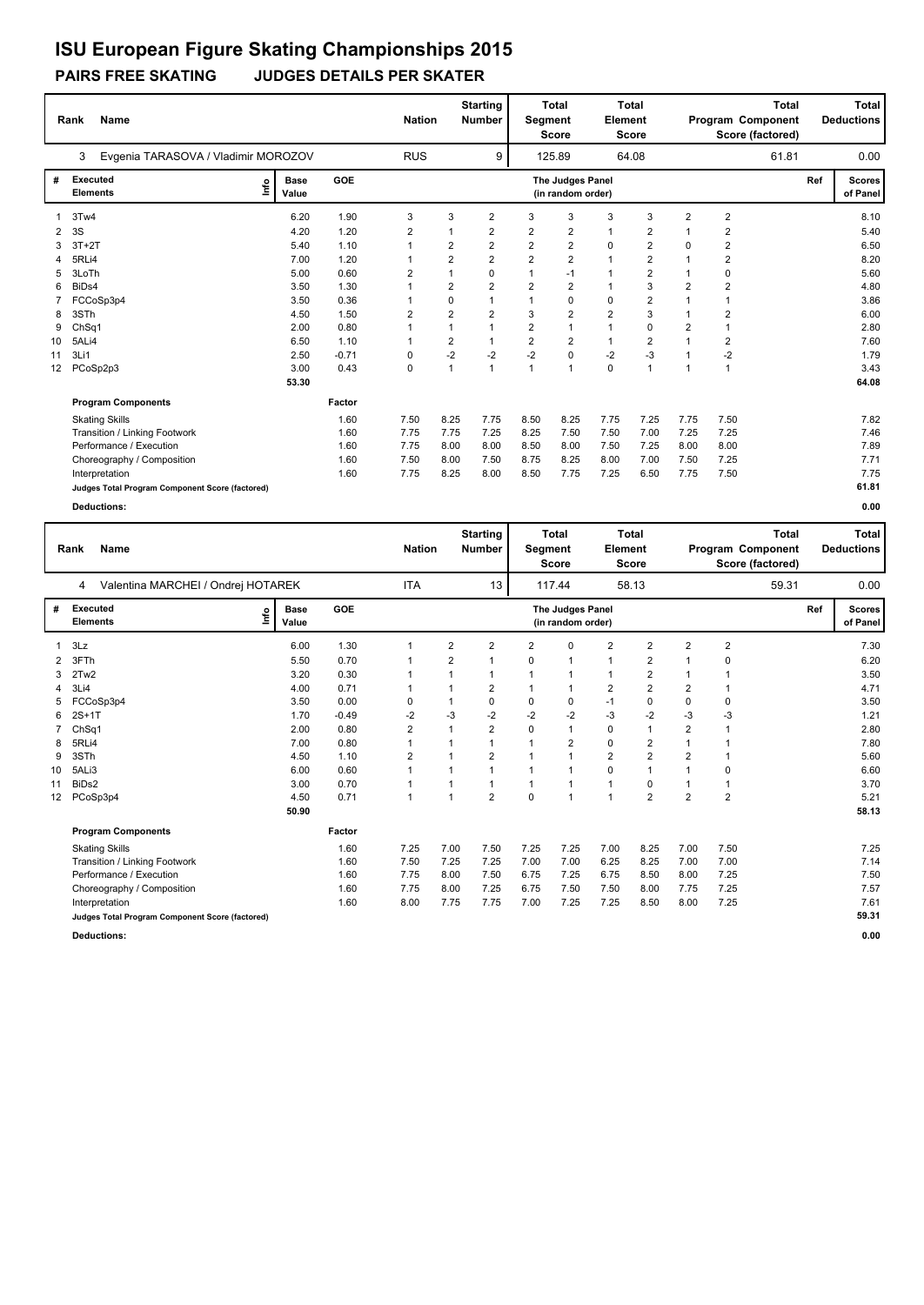### **PAIRS FREE SKATING JUDGES DETAILS PER SKATER**

|    | Name<br>Rank<br>Evgenia TARASOVA / Vladimir MOROZOV |                      |            | <b>Nation</b>  |                | <b>Starting</b><br>Number | Segment        | <b>Total</b><br>Score                 | <b>Element</b> | <b>Total</b><br>Score |                |                         | <b>Total</b><br>Program Component<br>Score (factored) |     | <b>Total</b><br><b>Deductions</b> |
|----|-----------------------------------------------------|----------------------|------------|----------------|----------------|---------------------------|----------------|---------------------------------------|----------------|-----------------------|----------------|-------------------------|-------------------------------------------------------|-----|-----------------------------------|
|    | 3                                                   |                      |            | <b>RUS</b>     |                | 9                         |                | 125.89                                |                | 64.08                 |                |                         | 61.81                                                 |     | 0.00                              |
| #  | Executed<br>١nf٥<br><b>Elements</b>                 | <b>Base</b><br>Value | <b>GOE</b> |                |                |                           |                | The Judges Panel<br>(in random order) |                |                       |                |                         |                                                       | Ref | <b>Scores</b><br>of Panel         |
|    | 3Tw4                                                | 6.20                 | 1.90       | 3              | 3              | $\overline{2}$            | 3              | 3                                     | 3              | 3                     | $\overline{2}$ | $\overline{2}$          |                                                       |     | 8.10                              |
| 2  | 3S                                                  | 4.20                 | 1.20       | $\overline{2}$ |                | $\overline{2}$            | $\overline{2}$ | $\overline{2}$                        | $\overline{1}$ | $\overline{2}$        | 1              | $\overline{2}$          |                                                       |     | 5.40                              |
|    | $3T+2T$                                             | 5.40                 | 1.10       | 1              | 2              | 2                         | $\overline{2}$ | $\overline{2}$                        | 0              | $\overline{2}$        | 0              | $\overline{\mathbf{c}}$ |                                                       |     | 6.50                              |
|    | 5RLi4                                               | 7.00                 | 1.20       |                | $\overline{2}$ | $\overline{2}$            | $\overline{2}$ | $\overline{2}$                        | $\overline{1}$ | $\overline{2}$        | 1              | $\overline{2}$          |                                                       |     | 8.20                              |
|    | 3LoTh                                               | 5.00                 | 0.60       | 2              |                | 0                         | 1              | -1                                    |                | $\overline{2}$        | $\mathbf 1$    | $\mathbf 0$             |                                                       |     | 5.60                              |
| 6  | BiD <sub>s4</sub>                                   | 3.50                 | 1.30       |                | $\overline{2}$ | $\overline{2}$            | $\overline{2}$ | $\overline{2}$                        |                | 3                     | $\overline{2}$ | $\overline{2}$          |                                                       |     | 4.80                              |
|    | FCCoSp3p4                                           | 3.50                 | 0.36       |                | $\mathbf 0$    |                           |                | $\mathbf 0$                           | $\mathbf 0$    | $\overline{2}$        | $\mathbf{1}$   |                         |                                                       |     | 3.86                              |
| 8  | 3STh                                                | 4.50                 | 1.50       | 2              | $\overline{2}$ | $\overline{\mathbf{c}}$   | 3              | $\overline{2}$                        | $\overline{2}$ | 3                     | 1              | $\overline{2}$          |                                                       |     | 6.00                              |
| 9  | ChSq1                                               | 2.00                 | 0.80       |                |                |                           | $\overline{2}$ | $\mathbf{1}$                          | $\overline{1}$ | 0                     | $\overline{2}$ |                         |                                                       |     | 2.80                              |
| 10 | 5ALi4                                               | 6.50                 | 1.10       |                | 2              | 1                         | $\overline{2}$ | $\overline{2}$                        | $\mathbf{1}$   | $\overline{2}$        | $\mathbf{1}$   | $\overline{2}$          |                                                       |     | 7.60                              |
| 11 | 3Li1                                                | 2.50                 | $-0.71$    | 0              | $-2$           | $-2$                      | $-2$           | $\pmb{0}$                             | $-2$           | $-3$                  |                | $-2$                    |                                                       |     | 1.79                              |
| 12 | PCoSp2p3                                            | 3.00                 | 0.43       | 0              | $\mathbf{1}$   | $\overline{1}$            | $\mathbf{1}$   | $\mathbf{1}$                          | $\mathbf 0$    | $\overline{1}$        | $\mathbf{1}$   | $\mathbf{1}$            |                                                       |     | 3.43                              |
|    |                                                     | 53.30                |            |                |                |                           |                |                                       |                |                       |                |                         |                                                       |     | 64.08                             |
|    | <b>Program Components</b>                           |                      | Factor     |                |                |                           |                |                                       |                |                       |                |                         |                                                       |     |                                   |
|    | <b>Skating Skills</b>                               |                      | 1.60       | 7.50           | 8.25           | 7.75                      | 8.50           | 8.25                                  | 7.75           | 7.25                  | 7.75           | 7.50                    |                                                       |     | 7.82                              |
|    | Transition / Linking Footwork                       |                      | 1.60       | 7.75           | 7.75           | 7.25                      | 8.25           | 7.50                                  | 7.50           | 7.00                  | 7.25           | 7.25                    |                                                       |     | 7.46                              |
|    | Performance / Execution                             |                      | 1.60       | 7.75           | 8.00           | 8.00                      | 8.50           | 8.00                                  | 7.50           | 7.25                  | 8.00           | 8.00                    |                                                       |     | 7.89                              |
|    | Choreography / Composition                          |                      | 1.60       | 7.50           | 8.00           | 7.50                      | 8.75           | 8.25                                  | 8.00           | 7.00                  | 7.50           | 7.25                    |                                                       |     | 7.71                              |
|    | Interpretation                                      |                      | 1.60       | 7.75           | 8.25           | 8.00                      | 8.50           | 7.75                                  | 7.25           | 6.50                  | 7.75           | 7.50                    |                                                       |     | 7.75                              |
|    | Judges Total Program Component Score (factored)     |                      |            |                |                |                           |                |                                       |                |                       |                |                         |                                                       |     | 61.81                             |

|    | <b>Name</b><br>Rank<br>Valentina MARCHEI / Ondrej HOTAREK<br>4 |                      |            | <b>Nation</b>  |                | <b>Starting</b><br><b>Number</b> | <b>Segment</b> | <b>Total</b><br><b>Score</b>          | Element        | <b>Total</b><br><b>Score</b> |                |                | <b>Total</b><br>Program Component<br>Score (factored) |     | Total<br><b>Deductions</b> |
|----|----------------------------------------------------------------|----------------------|------------|----------------|----------------|----------------------------------|----------------|---------------------------------------|----------------|------------------------------|----------------|----------------|-------------------------------------------------------|-----|----------------------------|
|    |                                                                |                      |            | <b>ITA</b>     |                | 13                               |                | 117.44                                |                | 58.13                        |                |                | 59.31                                                 |     | 0.00                       |
| #  | Executed<br>١m<br><b>Elements</b>                              | <b>Base</b><br>Value | <b>GOE</b> |                |                |                                  |                | The Judges Panel<br>(in random order) |                |                              |                |                |                                                       | Ref | <b>Scores</b><br>of Panel  |
| 1  | 3Lz                                                            | 6.00                 | 1.30       | $\mathbf 1$    | $\overline{2}$ | $\overline{2}$                   | $\overline{2}$ | 0                                     | $\overline{2}$ | $\overline{2}$               | $\overline{2}$ | $\overline{2}$ |                                                       |     | 7.30                       |
| 2  | 3FTh                                                           | 5.50                 | 0.70       | -1             | $\overline{2}$ | 1                                | 0              | $\mathbf 1$                           | $\mathbf{1}$   | $\overline{2}$               | $\mathbf{1}$   | $\mathbf 0$    |                                                       |     | 6.20                       |
| 3  | 2Tw2                                                           | 3.20                 | 0.30       | 1              |                | 1                                | 1              | 1                                     | $\mathbf{1}$   | $\overline{2}$               | 1              | 1              |                                                       |     | 3.50                       |
| 4  | 3Li4                                                           | 4.00                 | 0.71       | $\mathbf{1}$   |                | $\overline{2}$                   | $\mathbf{1}$   | 1                                     | $\overline{2}$ | $\overline{2}$               | $\overline{2}$ | $\overline{1}$ |                                                       |     | 4.71                       |
| 5  | FCCoSp3p4                                                      | 3.50                 | 0.00       | 0              |                | 0                                | 0              | 0                                     | $-1$           | 0                            | 0              | 0              |                                                       |     | 3.50                       |
| 6  | $2S+1T$                                                        | 1.70                 | $-0.49$    | $-2$           | -3             | $-2$                             | $-2$           | $-2$                                  | $-3$           | $-2$                         | $-3$           | $-3$           |                                                       |     | 1.21                       |
|    | Ch <sub>Sq1</sub>                                              | 2.00                 | 0.80       | 2              |                | $\overline{2}$                   | $\Omega$       | $\mathbf{1}$                          | $\mathbf 0$    | $\overline{1}$               | $\overline{2}$ |                |                                                       |     | 2.80                       |
| 8  | 5RLi4                                                          | 7.00                 | 0.80       | 1              |                |                                  |                | $\overline{2}$                        | $\mathbf 0$    | $\overline{2}$               | 1              |                |                                                       |     | 7.80                       |
| 9  | 3STh                                                           | 4.50                 | 1.10       | $\overline{2}$ |                | $\overline{2}$                   |                | 1                                     | $\overline{2}$ | $\overline{2}$               | $\overline{2}$ |                |                                                       |     | 5.60                       |
| 10 | 5ALi3                                                          | 6.00                 | 0.60       | $\overline{1}$ |                | 1                                | $\mathbf{1}$   | $\mathbf{1}$                          | $\mathbf 0$    | $\overline{1}$               | $\mathbf{1}$   | $\mathbf 0$    |                                                       |     | 6.60                       |
| 11 | BiD <sub>s2</sub>                                              | 3.00                 | 0.70       | $\mathbf 1$    |                | $\mathbf{1}$                     | 1              | $\mathbf 1$                           | $\mathbf{1}$   | 0                            | 1              | $\mathbf 1$    |                                                       |     | 3.70                       |
| 12 | PCoSp3p4                                                       | 4.50                 | 0.71       | $\overline{1}$ | 1              | $\overline{2}$                   | 0              | 1                                     | $\mathbf{1}$   | $\overline{2}$               | $\overline{2}$ | $\overline{2}$ |                                                       |     | 5.21                       |
|    |                                                                | 50.90                |            |                |                |                                  |                |                                       |                |                              |                |                |                                                       |     | 58.13                      |
|    | <b>Program Components</b>                                      |                      | Factor     |                |                |                                  |                |                                       |                |                              |                |                |                                                       |     |                            |
|    | <b>Skating Skills</b>                                          |                      | 1.60       | 7.25           | 7.00           | 7.50                             | 7.25           | 7.25                                  | 7.00           | 8.25                         | 7.00           | 7.50           |                                                       |     | 7.25                       |
|    | Transition / Linking Footwork                                  |                      | 1.60       | 7.50           | 7.25           | 7.25                             | 7.00           | 7.00                                  | 6.25           | 8.25                         | 7.00           | 7.00           |                                                       |     | 7.14                       |
|    | Performance / Execution                                        |                      | 1.60       | 7.75           | 8.00           | 7.50                             | 6.75           | 7.25                                  | 6.75           | 8.50                         | 8.00           | 7.25           |                                                       |     | 7.50                       |
|    | Choreography / Composition                                     |                      | 1.60       | 7.75           | 8.00           | 7.25                             | 6.75           | 7.50                                  | 7.50           | 8.00                         | 7.75           | 7.25           |                                                       |     | 7.57                       |
|    | Interpretation                                                 |                      | 1.60       | 8.00           | 7.75           | 7.75                             | 7.00           | 7.25                                  | 7.25           | 8.50                         | 8.00           | 7.25           |                                                       |     | 7.61                       |
|    | Judges Total Program Component Score (factored)                |                      |            |                |                |                                  |                |                                       |                |                              |                |                |                                                       |     | 59.31                      |
|    | <b>Deductions:</b>                                             |                      |            |                |                |                                  |                |                                       |                |                              |                |                |                                                       |     | 0.00                       |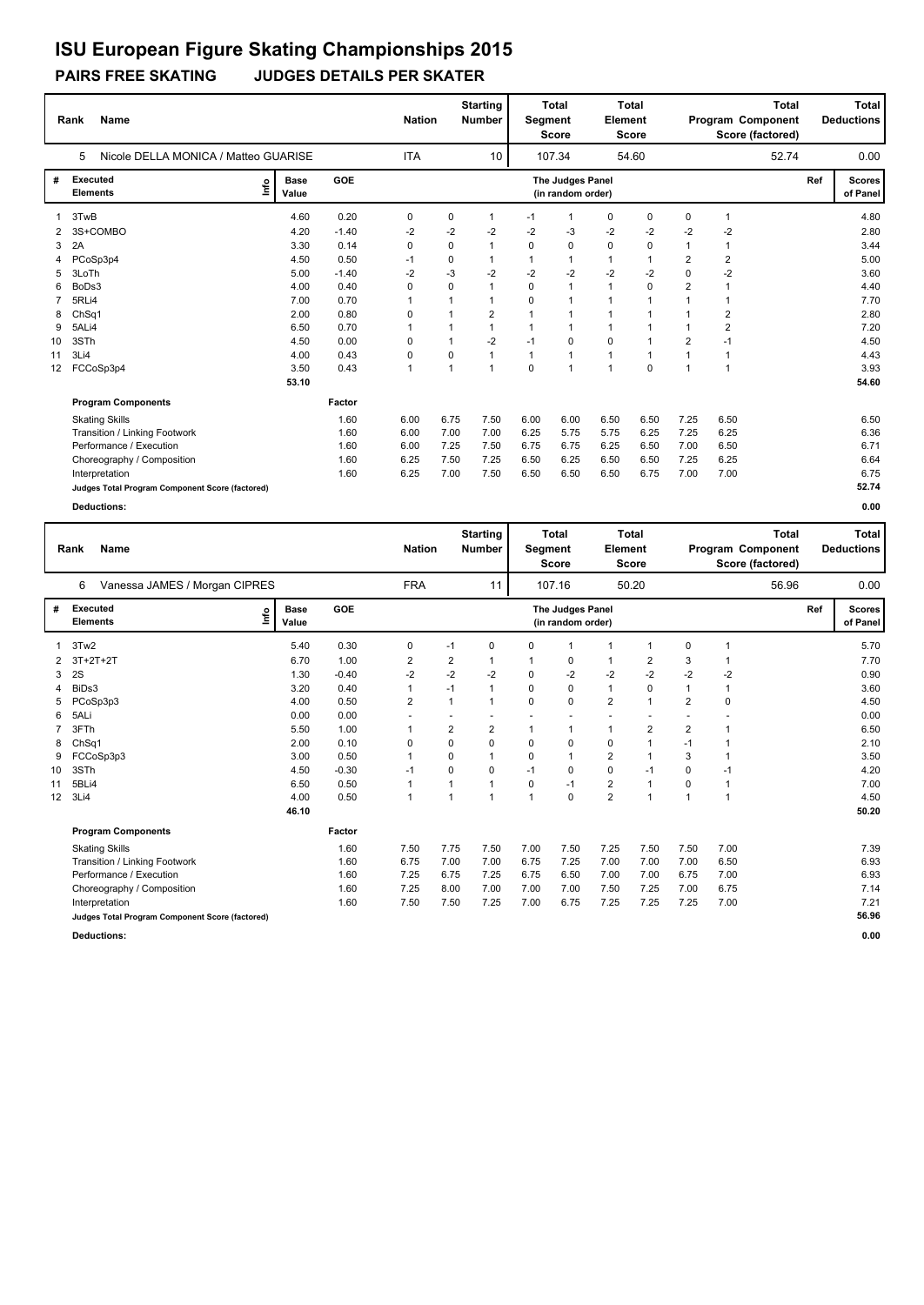### **PAIRS FREE SKATING JUDGES DETAILS PER SKATER**

|                   | <b>Name</b><br>Rank                             |                      | <b>Nation</b> |              | <b>Starting</b><br><b>Number</b> | Segment         | <b>Total</b><br><b>Score</b> | <b>Element</b>                        | <b>Total</b><br><b>Score</b> |             |                | <b>Total</b><br>Program Component<br>Score (factored) |       | Total<br><b>Deductions</b> |                           |
|-------------------|-------------------------------------------------|----------------------|---------------|--------------|----------------------------------|-----------------|------------------------------|---------------------------------------|------------------------------|-------------|----------------|-------------------------------------------------------|-------|----------------------------|---------------------------|
|                   | Nicole DELLA MONICA / Matteo GUARISE<br>5       |                      |               | <b>ITA</b>   |                                  | 10 <sup>°</sup> |                              | 107.34                                |                              | 54.60       |                |                                                       | 52.74 |                            | 0.00                      |
| #                 | Executed<br>Lnfo<br><b>Elements</b>             | <b>Base</b><br>Value | GOE           |              |                                  |                 |                              | The Judges Panel<br>(in random order) |                              |             |                |                                                       |       | Ref                        | <b>Scores</b><br>of Panel |
|                   | 3TwB                                            | 4.60                 | 0.20          | 0            | 0                                | $\mathbf{1}$    | $-1$                         | 1                                     | $\mathbf 0$                  | 0           | $\mathbf 0$    | 1                                                     |       |                            | 4.80                      |
|                   | 3S+COMBO                                        | 4.20                 | $-1.40$       | $-2$         | $-2$                             | -2              | -2                           | -3                                    | $-2$                         | $-2$        | $-2$           | $-2$                                                  |       |                            | 2.80                      |
| 3                 | 2A                                              | 3.30                 | 0.14          | 0            | $\mathbf 0$                      |                 | $\Omega$                     | $\mathbf 0$                           | $\mathbf 0$                  | $\mathbf 0$ |                |                                                       |       |                            | 3.44                      |
|                   | PCoSp3p4                                        | 4.50                 | 0.50          | $-1$         | 0                                |                 |                              |                                       | $\mathbf{1}$                 | 1           | $\overline{2}$ | $\overline{2}$                                        |       |                            | 5.00                      |
| 5                 | 3LoTh                                           | 5.00                 | $-1.40$       | $-2$         | $-3$                             | $-2$            | $-2$                         | $-2$                                  | $-2$                         | $-2$        | $\Omega$       | $-2$                                                  |       |                            | 3.60                      |
| 6                 | BoDs3                                           | 4.00                 | 0.40          | 0            | 0                                |                 | $\Omega$                     | 1                                     | $\mathbf{1}$                 | $\Omega$    | $\overline{2}$ | $\overline{1}$                                        |       |                            | 4.40                      |
|                   | 5RLi4                                           | 7.00                 | 0.70          | 1            |                                  |                 | $\Omega$                     |                                       | 1                            | 1           |                |                                                       |       |                            | 7.70                      |
| 8                 | Ch <sub>Sq1</sub>                               | 2.00                 | 0.80          | 0            |                                  | 2               | 1                            |                                       | 1                            | 1           |                | 2                                                     |       |                            | 2.80                      |
| 9                 | 5ALi4                                           | 6.50                 | 0.70          | 1            | 1                                | $\mathbf{1}$    | $\mathbf{1}$                 | 1                                     | $\overline{1}$               | 1           |                | $\overline{2}$                                        |       |                            | 7.20                      |
| 10                | 3STh                                            | 4.50                 | 0.00          | 0            | 1                                | $-2$            | $-1$                         | $\mathbf 0$                           | 0                            | 1           | $\overline{2}$ | $-1$                                                  |       |                            | 4.50                      |
| 11                | 3Li4                                            | 4.00                 | 0.43          | 0            | 0                                | $\mathbf{1}$    | $\mathbf{1}$                 | 1                                     | $\mathbf{1}$                 | -1          |                | $\overline{1}$                                        |       |                            | 4.43                      |
| $12 \overline{ }$ | FCCoSp3p4                                       | 3.50                 | 0.43          | $\mathbf{1}$ | $\mathbf{1}$                     | $\mathbf{1}$    | $\Omega$                     | $\overline{1}$                        | $\overline{1}$               | $\Omega$    | $\overline{1}$ | $\overline{1}$                                        |       |                            | 3.93                      |
|                   |                                                 | 53.10                |               |              |                                  |                 |                              |                                       |                              |             |                |                                                       |       |                            | 54.60                     |
|                   | <b>Program Components</b>                       |                      | Factor        |              |                                  |                 |                              |                                       |                              |             |                |                                                       |       |                            |                           |
|                   | <b>Skating Skills</b>                           |                      | 1.60          | 6.00         | 6.75                             | 7.50            | 6.00                         | 6.00                                  | 6.50                         | 6.50        | 7.25           | 6.50                                                  |       |                            | 6.50                      |
|                   | Transition / Linking Footwork                   |                      | 1.60          | 6.00         | 7.00                             | 7.00            | 6.25                         | 5.75                                  | 5.75                         | 6.25        | 7.25           | 6.25                                                  |       |                            | 6.36                      |
|                   | Performance / Execution                         |                      | 1.60          | 6.00         | 7.25                             | 7.50            | 6.75                         | 6.75                                  | 6.25                         | 6.50        | 7.00           | 6.50                                                  |       |                            | 6.71                      |
|                   | Choreography / Composition                      |                      | 1.60          | 6.25         | 7.50                             | 7.25            | 6.50                         | 6.25                                  | 6.50                         | 6.50        | 7.25           | 6.25                                                  |       |                            | 6.64                      |
|                   | Interpretation                                  |                      | 1.60          | 6.25         | 7.00                             | 7.50            | 6.50                         | 6.50                                  | 6.50                         | 6.75        | 7.00           | 7.00                                                  |       |                            | 6.75                      |
|                   | Judges Total Program Component Score (factored) |                      |               |              |                                  |                 |                              |                                       |                              |             |                |                                                       |       |                            | 52.74                     |

|    | <b>Name</b><br>Rank<br>Vanessa JAMES / Morgan CIPRES<br>6 |      |                      |            | <b>Nation</b>           |                         | <b>Starting</b><br><b>Number</b> | Segment      | Total<br><b>Score</b>                 | Element                 | <b>Total</b><br><b>Score</b> |                |                | <b>Total</b><br>Program Component<br>Score (factored) |     | Total<br><b>Deductions</b> |
|----|-----------------------------------------------------------|------|----------------------|------------|-------------------------|-------------------------|----------------------------------|--------------|---------------------------------------|-------------------------|------------------------------|----------------|----------------|-------------------------------------------------------|-----|----------------------------|
|    |                                                           |      |                      |            | <b>FRA</b>              |                         | 11                               |              | 107.16                                |                         | 50.20                        |                |                | 56.96                                                 |     | 0.00                       |
| #  | <b>Executed</b><br><b>Elements</b>                        | lnfo | <b>Base</b><br>Value | <b>GOE</b> |                         |                         |                                  |              | The Judges Panel<br>(in random order) |                         |                              |                |                |                                                       | Ref | <b>Scores</b><br>of Panel  |
| 1  | 3Tw2                                                      |      | 5.40                 | 0.30       | 0                       | $-1$                    | 0                                | 0            | $\mathbf 1$                           | $\mathbf{1}$            | 1                            | 0              | 1              |                                                       |     | 5.70                       |
| 2  | $3T+2T+2T$                                                |      | 6.70                 | 1.00       | $\overline{\mathbf{c}}$ | $\overline{\mathbf{c}}$ |                                  | 1            | 0                                     | $\mathbf{1}$            | 2                            | 3              |                |                                                       |     | 7.70                       |
| 3  | 2S                                                        |      | 1.30                 | $-0.40$    | $-2$                    | $-2$                    | $-2$                             | 0            | $-2$                                  | $-2$                    | $-2$                         | $-2$           | $-2$           |                                                       |     | 0.90                       |
| 4  | BiDs3                                                     |      | 3.20                 | 0.40       | $\mathbf{1}$            | $-1$                    | 1                                | 0            | $\mathbf 0$                           | $\mathbf{1}$            | $\mathbf 0$                  | $\mathbf{1}$   | $\mathbf{1}$   |                                                       |     | 3.60                       |
| 5  | PCoSp3p3                                                  |      | 4.00                 | 0.50       | $\overline{2}$          | 1                       | 1                                | 0            | 0                                     | $\overline{2}$          | 1                            | $\overline{2}$ | 0              |                                                       |     | 4.50                       |
| 6  | 5ALi                                                      |      | 0.00                 | 0.00       |                         |                         |                                  |              |                                       | ÷                       |                              |                |                |                                                       |     | 0.00                       |
| 7  | 3FTh                                                      |      | 5.50                 | 1.00       | 1                       | 2                       | 2                                | 1            | 1                                     | $\mathbf{1}$            | $\overline{2}$               | $\overline{2}$ |                |                                                       |     | 6.50                       |
| 8  | ChSq1                                                     |      | 2.00                 | 0.10       | $\mathbf 0$             | $\mathbf 0$             | 0                                | 0            | $\mathbf 0$                           | $\mathbf 0$             | 1                            | $-1$           | 1              |                                                       |     | 2.10                       |
| 9  | FCCoSp3p3                                                 |      | 3.00                 | 0.50       | 1                       | $\Omega$                |                                  | 0            | 1                                     | $\overline{2}$          | 1                            | 3              | $\overline{1}$ |                                                       |     | 3.50                       |
| 10 | 3STh                                                      |      | 4.50                 | $-0.30$    | $-1$                    | 0                       | 0                                | $-1$         | 0                                     | $\mathbf 0$             | $-1$                         | $\Omega$       | $-1$           |                                                       |     | 4.20                       |
| 11 | 5BLi4                                                     |      | 6.50                 | 0.50       | 1                       | 1                       | 1                                | 0            | $-1$                                  | $\overline{\mathbf{c}}$ | $\mathbf{1}$                 | 0              | $\mathbf{1}$   |                                                       |     | 7.00                       |
| 12 | 3Li4                                                      |      | 4.00                 | 0.50       | 1                       | $\overline{1}$          | 1                                | $\mathbf{1}$ | $\mathbf 0$                           | $\overline{2}$          | 1                            | $\overline{1}$ | 1              |                                                       |     | 4.50                       |
|    |                                                           |      | 46.10                |            |                         |                         |                                  |              |                                       |                         |                              |                |                |                                                       |     | 50.20                      |
|    | <b>Program Components</b>                                 |      |                      | Factor     |                         |                         |                                  |              |                                       |                         |                              |                |                |                                                       |     |                            |
|    | <b>Skating Skills</b>                                     |      |                      | 1.60       | 7.50                    | 7.75                    | 7.50                             | 7.00         | 7.50                                  | 7.25                    | 7.50                         | 7.50           | 7.00           |                                                       |     | 7.39                       |
|    | Transition / Linking Footwork                             |      |                      | 1.60       | 6.75                    | 7.00                    | 7.00                             | 6.75         | 7.25                                  | 7.00                    | 7.00                         | 7.00           | 6.50           |                                                       |     | 6.93                       |
|    | Performance / Execution                                   |      |                      | 1.60       | 7.25                    | 6.75                    | 7.25                             | 6.75         | 6.50                                  | 7.00                    | 7.00                         | 6.75           | 7.00           |                                                       |     | 6.93                       |
|    | Choreography / Composition                                |      |                      | 1.60       | 7.25                    | 8.00                    | 7.00                             | 7.00         | 7.00                                  | 7.50                    | 7.25                         | 7.00           | 6.75           |                                                       |     | 7.14                       |
|    | Interpretation                                            |      |                      | 1.60       | 7.50                    | 7.50                    | 7.25                             | 7.00         | 6.75                                  | 7.25                    | 7.25                         | 7.25           | 7.00           |                                                       |     | 7.21                       |
|    | Judges Total Program Component Score (factored)           |      |                      |            |                         |                         |                                  |              |                                       |                         |                              |                |                |                                                       |     | 56.96                      |
|    | <b>Deductions:</b>                                        |      |                      |            |                         |                         |                                  |              |                                       |                         |                              |                |                |                                                       |     | 0.00                       |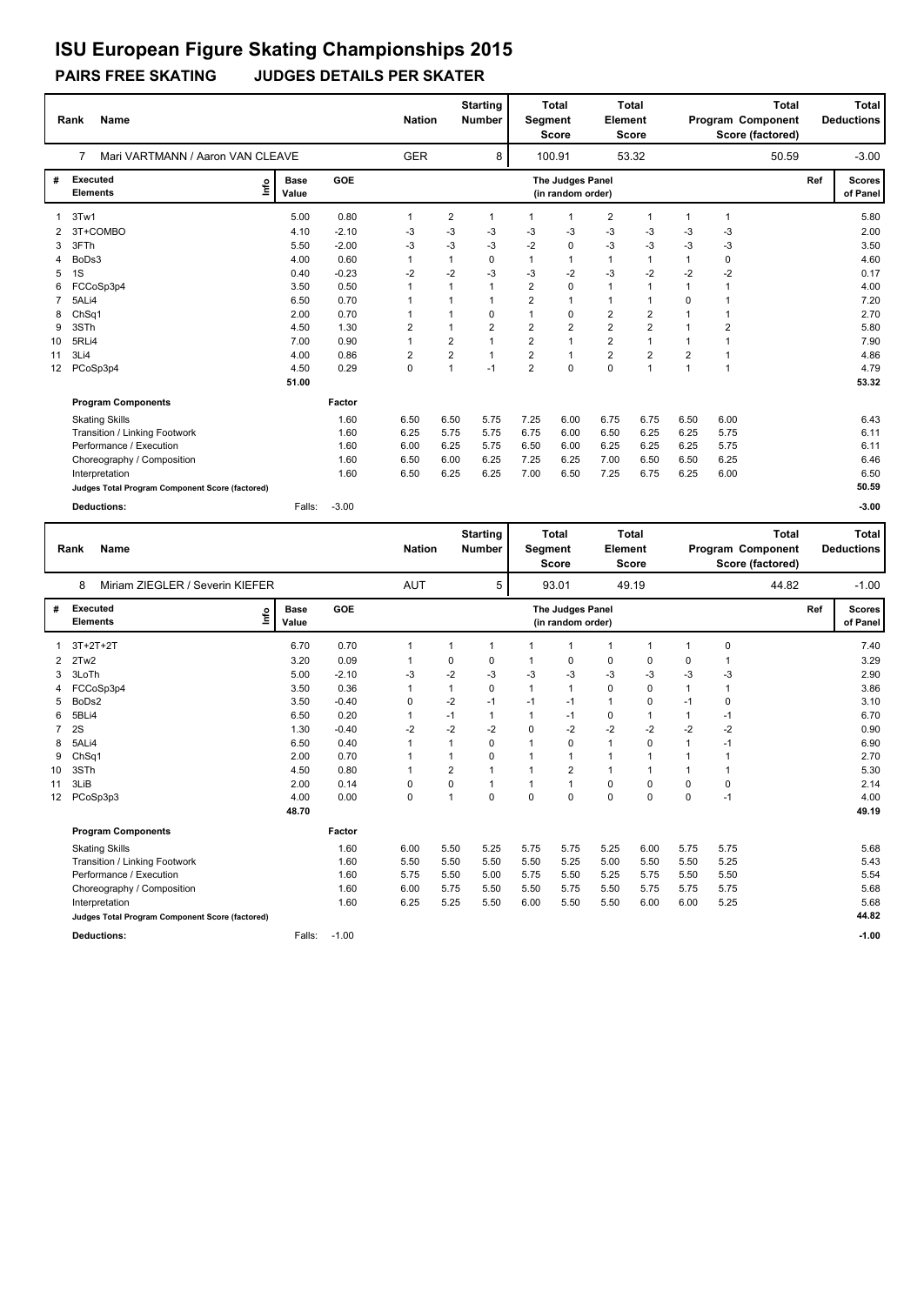### **PAIRS FREE SKATING JUDGES DETAILS PER SKATER**

|                 | <b>Name</b><br>Rank                             |                      |         | <b>Nation</b> |                         | <b>Starting</b><br><b>Number</b> | Segment        | <b>Total</b><br><b>Score</b>          | Element        | <b>Total</b><br><b>Score</b> |                | <b>Total</b><br>Program Component<br>Score (factored) |     | Total<br><b>Deductions</b> |
|-----------------|-------------------------------------------------|----------------------|---------|---------------|-------------------------|----------------------------------|----------------|---------------------------------------|----------------|------------------------------|----------------|-------------------------------------------------------|-----|----------------------------|
|                 | Mari VARTMANN / Aaron VAN CLEAVE<br>7           |                      |         | <b>GER</b>    |                         | 8                                |                | 100.91                                |                | 53.32                        |                | 50.59                                                 |     | $-3.00$                    |
| #               | <b>Executed</b><br>Lnfo<br><b>Elements</b>      | <b>Base</b><br>Value | GOE     |               |                         |                                  |                | The Judges Panel<br>(in random order) |                |                              |                |                                                       | Ref | <b>Scores</b><br>of Panel  |
|                 | 3Tw1                                            | 5.00                 | 0.80    | 1             | $\overline{\mathbf{c}}$ | 1                                | 1              | $\mathbf{1}$                          | $\overline{2}$ | 1                            | $\mathbf{1}$   | $\mathbf{1}$                                          |     | 5.80                       |
| 2               | 3T+COMBO                                        | 4.10                 | $-2.10$ | -3            | $-3$                    | -3                               | -3             | $-3$                                  | $-3$           | $-3$                         | -3             | -3                                                    |     | 2.00                       |
| 3               | 3FTh                                            | 5.50                 | $-2.00$ | $-3$          | $-3$                    | -3                               | $-2$           | $\mathbf 0$                           | $-3$           | $-3$                         | $-3$           | -3                                                    |     | 3.50                       |
| 4               | BoDs3                                           | 4.00                 | 0.60    | 1             | $\mathbf{1}$            | 0                                | $\mathbf{1}$   | $\mathbf{1}$                          | $\mathbf{1}$   | 1                            | $\mathbf 1$    | $\mathbf 0$                                           |     | 4.60                       |
| 5               | 1S                                              | 0.40                 | $-0.23$ | $-2$          | $-2$                    | -3                               | $-3$           | -2                                    | $-3$           | $-2$                         | $-2$           | $-2$                                                  |     | 0.17                       |
| 6               | FCCoSp3p4                                       | 3.50                 | 0.50    |               |                         | $\mathbf 1$                      | $\overline{2}$ | $\mathbf 0$                           | $\mathbf{1}$   |                              | $\mathbf 1$    |                                                       |     | 4.00                       |
| $\overline{7}$  | 5ALi4                                           | 6.50                 | 0.70    |               |                         |                                  | $\overline{2}$ | 1                                     | $\mathbf{1}$   |                              | 0              |                                                       |     | 7.20                       |
| 8               | ChSq1                                           | 2.00                 | 0.70    |               |                         | 0                                | $\mathbf{1}$   | 0                                     | $\overline{2}$ | 2                            | $\overline{1}$ |                                                       |     | 2.70                       |
| 9               | 3STh                                            | 4.50                 | 1.30    | 2             |                         | $\overline{2}$                   | $\overline{2}$ | $\overline{2}$                        | $\overline{2}$ | $\overline{\mathbf{c}}$      |                | $\overline{2}$                                        |     | 5.80                       |
| 10              | 5RLi4                                           | 7.00                 | 0.90    |               | 2                       |                                  | $\overline{2}$ | $\overline{1}$                        | $\overline{2}$ | $\overline{1}$               | $\mathbf 1$    |                                                       |     | 7.90                       |
| 11              | 3Li4                                            | 4.00                 | 0.86    | 2             | $\overline{2}$          | $\mathbf{1}$                     | $\overline{2}$ | $\mathbf{1}$                          | $\overline{2}$ | $\overline{2}$               | $\overline{2}$ |                                                       |     | 4.86                       |
| 12 <sup>2</sup> | PCoSp3p4                                        | 4.50                 | 0.29    | $\mathbf 0$   | $\mathbf{1}$            | $-1$                             | $\overline{2}$ | $\mathbf 0$                           | $\mathbf 0$    | $\overline{1}$               | $\overline{1}$ | $\overline{1}$                                        |     | 4.79                       |
|                 |                                                 | 51.00                |         |               |                         |                                  |                |                                       |                |                              |                |                                                       |     | 53.32                      |
|                 | <b>Program Components</b>                       |                      | Factor  |               |                         |                                  |                |                                       |                |                              |                |                                                       |     |                            |
|                 | <b>Skating Skills</b>                           |                      | 1.60    | 6.50          | 6.50                    | 5.75                             | 7.25           | 6.00                                  | 6.75           | 6.75                         | 6.50           | 6.00                                                  |     | 6.43                       |
|                 | Transition / Linking Footwork                   |                      | 1.60    | 6.25          | 5.75                    | 5.75                             | 6.75           | 6.00                                  | 6.50           | 6.25                         | 6.25           | 5.75                                                  |     | 6.11                       |
|                 | Performance / Execution                         |                      | 1.60    | 6.00          | 6.25                    | 5.75                             | 6.50           | 6.00                                  | 6.25           | 6.25                         | 6.25           | 5.75                                                  |     | 6.11                       |
|                 | Choreography / Composition                      |                      | 1.60    | 6.50          | 6.00                    | 6.25                             | 7.25           | 6.25                                  | 7.00           | 6.50                         | 6.50           | 6.25                                                  |     | 6.46                       |
|                 | Interpretation                                  |                      | 1.60    | 6.50          | 6.25                    | 6.25                             | 7.00           | 6.50                                  | 7.25           | 6.75                         | 6.25           | 6.00                                                  |     | 6.50                       |
|                 | Judges Total Program Component Score (factored) |                      |         |               |                         |                                  |                |                                       |                |                              |                |                                                       |     | 50.59                      |
|                 | <b>Deductions:</b>                              | Falls:               | $-3.00$ |               |                         |                                  |                |                                       |                |                              |                |                                                       |     | $-3.00$                    |

|                 | Name<br>Rank                                    |    |                      |            | <b>Nation</b> |             | <b>Starting</b><br><b>Number</b> | <b>Segment</b> | <b>Total</b><br><b>Score</b>          | Element      | <b>Total</b><br><b>Score</b> |              | Program Component<br>Score (factored) | <b>Total</b> |     | Total<br><b>Deductions</b> |
|-----------------|-------------------------------------------------|----|----------------------|------------|---------------|-------------|----------------------------------|----------------|---------------------------------------|--------------|------------------------------|--------------|---------------------------------------|--------------|-----|----------------------------|
|                 | 8<br>Miriam ZIEGLER / Severin KIEFER            |    |                      |            | <b>AUT</b>    |             | 5                                |                | 93.01                                 |              | 49.19                        |              |                                       | 44.82        |     | $-1.00$                    |
| #               | <b>Executed</b><br><b>Elements</b>              | ١m | <b>Base</b><br>Value | <b>GOE</b> |               |             |                                  |                | The Judges Panel<br>(in random order) |              |                              |              |                                       |              | Ref | <b>Scores</b><br>of Panel  |
|                 | 3T+2T+2T                                        |    | 6.70                 | 0.70       | $\mathbf 1$   |             | 1                                |                | $\mathbf 1$                           | $\mathbf{1}$ | -1                           | $\mathbf{1}$ | $\mathbf 0$                           |              |     | 7.40                       |
| 2               | 2Tw2                                            |    | 3.20                 | 0.09       | 1             | 0           | 0                                |                | 0                                     | 0            | $\mathbf 0$                  | 0            |                                       |              |     | 3.29                       |
| 3               | 3LoTh                                           |    | 5.00                 | $-2.10$    | -3            | -2          | -3                               | -3             | -3                                    | $-3$         | -3                           | -3           | -3                                    |              |     | 2.90                       |
| 4               | FCCoSp3p4                                       |    | 3.50                 | 0.36       | $\mathbf{1}$  | 1           | $\Omega$                         | 1              | $\mathbf{1}$                          | $\Omega$     | $\Omega$                     | $\mathbf{1}$ | $\mathbf 1$                           |              |     | 3.86                       |
| 5               | BoDs2                                           |    | 3.50                 | $-0.40$    | 0             | $-2$        | $-1$                             | $-1$           | $-1$                                  | $\mathbf{1}$ | $\mathbf 0$                  | $-1$         | 0                                     |              |     | 3.10                       |
| 6               | 5BLi4                                           |    | 6.50                 | 0.20       | 1             | $-1$        | $\mathbf 1$                      |                | $-1$                                  | 0            | $\overline{1}$               | $\mathbf{1}$ | $-1$                                  |              |     | 6.70                       |
|                 | 2S                                              |    | 1.30                 | $-0.40$    | $-2$          | $-2$        | $-2$                             | 0              | $-2$                                  | $-2$         | $-2$                         | $-2$         | $-2$                                  |              |     | 0.90                       |
| 8               | 5ALi4                                           |    | 6.50                 | 0.40       | 1             |             | 0                                | 1              | $\Omega$                              | $\mathbf{1}$ | $\Omega$                     | $\mathbf{1}$ | $-1$                                  |              |     | 6.90                       |
| 9               | ChSq1                                           |    | 2.00                 | 0.70       |               |             | 0                                |                | 1                                     | $\mathbf{1}$ |                              | $\mathbf 1$  |                                       |              |     | 2.70                       |
| 10              | 3STh                                            |    | 4.50                 | 0.80       | $\mathbf 1$   | 2           | $\mathbf 1$                      | 1              | $\overline{2}$                        | $\mathbf{1}$ | -1                           | $\mathbf{1}$ | 1                                     |              |     | 5.30                       |
| 11              | 3LiB                                            |    | 2.00                 | 0.14       | 0             | 0           | 1                                | 1              | $\mathbf{1}$                          | 0            | 0                            | $\Omega$     | 0                                     |              |     | 2.14                       |
| 12 <sup>2</sup> | PCoSp3p3                                        |    | 4.00                 | 0.00       | 0             | $\mathbf 1$ | 0                                | 0              | $\mathbf 0$                           | $\mathbf 0$  | 0                            | $\mathbf 0$  | $-1$                                  |              |     | 4.00                       |
|                 |                                                 |    | 48.70                |            |               |             |                                  |                |                                       |              |                              |              |                                       |              |     | 49.19                      |
|                 | <b>Program Components</b>                       |    |                      | Factor     |               |             |                                  |                |                                       |              |                              |              |                                       |              |     |                            |
|                 | <b>Skating Skills</b>                           |    |                      | 1.60       | 6.00          | 5.50        | 5.25                             | 5.75           | 5.75                                  | 5.25         | 6.00                         | 5.75         | 5.75                                  |              |     | 5.68                       |
|                 | Transition / Linking Footwork                   |    |                      | 1.60       | 5.50          | 5.50        | 5.50                             | 5.50           | 5.25                                  | 5.00         | 5.50                         | 5.50         | 5.25                                  |              |     | 5.43                       |
|                 | Performance / Execution                         |    |                      | 1.60       | 5.75          | 5.50        | 5.00                             | 5.75           | 5.50                                  | 5.25         | 5.75                         | 5.50         | 5.50                                  |              |     | 5.54                       |
|                 | Choreography / Composition                      |    |                      | 1.60       | 6.00          | 5.75        | 5.50                             | 5.50           | 5.75                                  | 5.50         | 5.75                         | 5.75         | 5.75                                  |              |     | 5.68                       |
|                 | Interpretation                                  |    |                      | 1.60       | 6.25          | 5.25        | 5.50                             | 6.00           | 5.50                                  | 5.50         | 6.00                         | 6.00         | 5.25                                  |              |     | 5.68                       |
|                 | Judges Total Program Component Score (factored) |    |                      |            |               |             |                                  |                |                                       |              |                              |              |                                       |              |     | 44.82                      |
|                 | <b>Deductions:</b>                              |    | Falls:               | $-1.00$    |               |             |                                  |                |                                       |              |                              |              |                                       |              |     | $-1.00$                    |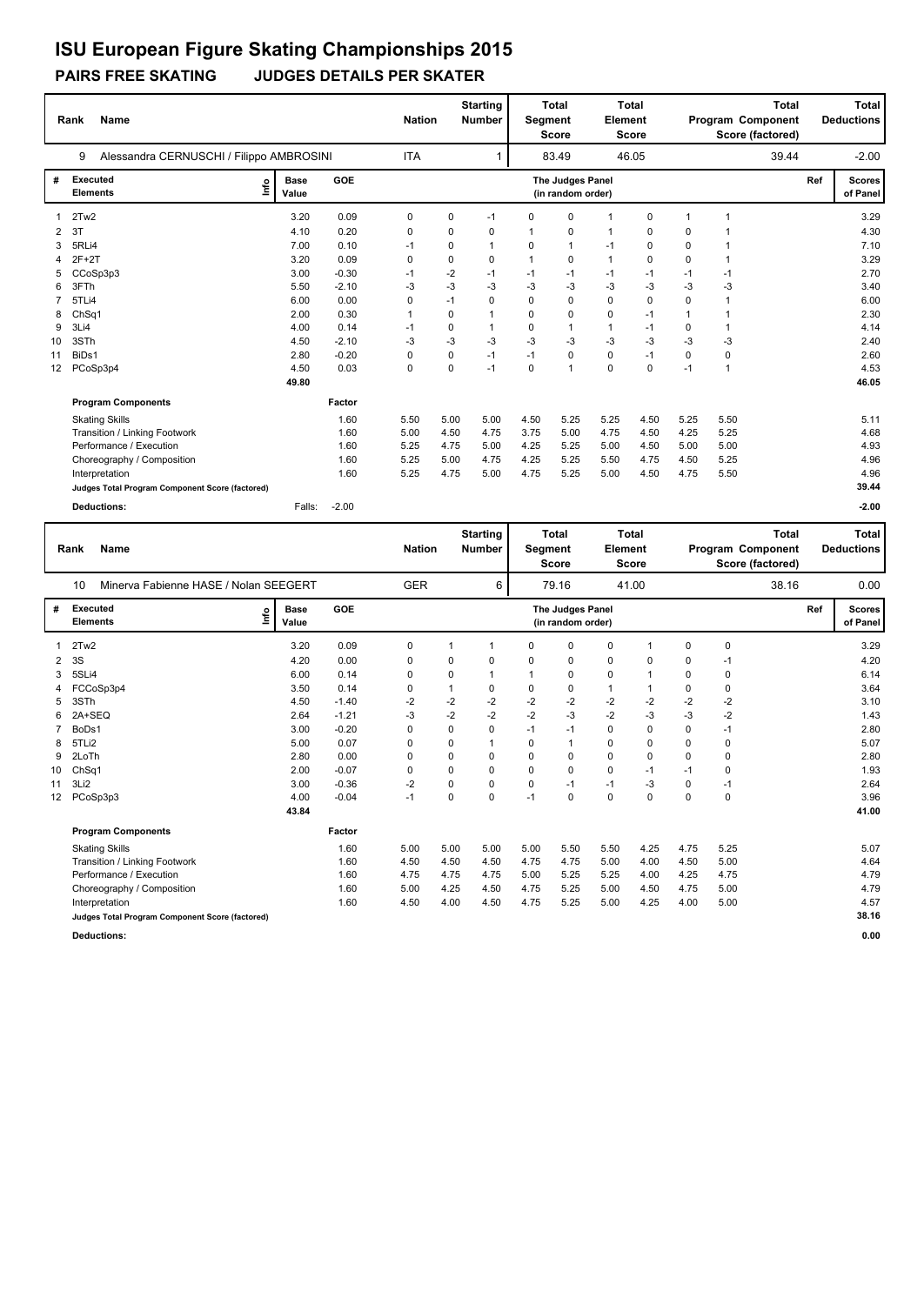### **PAIRS FREE SKATING JUDGES DETAILS PER SKATER**

|                 | <b>Name</b><br>Rank                             |                      |         | <b>Nation</b> |      | <b>Starting</b><br><b>Number</b> | Segment      | <b>Total</b><br><b>Score</b>          | Element      | <b>Total</b><br><b>Score</b> |              | <b>Total</b><br>Program Component<br>Score (factored) |     | Total<br><b>Deductions</b> |
|-----------------|-------------------------------------------------|----------------------|---------|---------------|------|----------------------------------|--------------|---------------------------------------|--------------|------------------------------|--------------|-------------------------------------------------------|-----|----------------------------|
|                 | Alessandra CERNUSCHI / Filippo AMBROSINI<br>9   |                      |         | <b>ITA</b>    |      |                                  |              | 83.49                                 |              | 46.05                        |              | 39.44                                                 |     | $-2.00$                    |
| #               | <b>Executed</b><br>١nf٥<br><b>Elements</b>      | <b>Base</b><br>Value | GOE     |               |      |                                  |              | The Judges Panel<br>(in random order) |              |                              |              |                                                       | Ref | <b>Scores</b><br>of Panel  |
|                 | 2Tw2                                            | 3.20                 | 0.09    | 0             | 0    | $-1$                             | $\Omega$     | $\Omega$                              | $\mathbf{1}$ | $\Omega$                     | $\mathbf{1}$ | 1                                                     |     | 3.29                       |
| $\overline{2}$  | 3T                                              | 4.10                 | 0.20    | 0             | 0    | 0                                | 1            | $\mathbf 0$                           | 1            | 0                            | 0            |                                                       |     | 4.30                       |
| 3               | 5RLi4                                           | 7.00                 | 0.10    | $-1$          | 0    | $\mathbf{1}$                     | $\Omega$     | $\mathbf{1}$                          | $-1$         | 0                            | $\Omega$     |                                                       |     | 7.10                       |
| 4               | $2F+2T$                                         | 3.20                 | 0.09    | 0             | 0    | $\Omega$                         | $\mathbf{1}$ | 0                                     | $\mathbf{1}$ | 0                            | 0            | -1                                                    |     | 3.29                       |
|                 | CCoSp3p3                                        | 3.00                 | $-0.30$ | $-1$          | $-2$ | $-1$                             | $-1$         | -1                                    | $-1$         | $-1$                         | $-1$         | $-1$                                                  |     | 2.70                       |
| 6               | 3FTh                                            | 5.50                 | $-2.10$ | -3            | $-3$ | $-3$                             | -3           | -3                                    | $-3$         | $-3$                         | -3           | $-3$                                                  |     | 3.40                       |
|                 | 5TLi4                                           | 6.00                 | 0.00    | 0             | $-1$ | $\Omega$                         | $\Omega$     | 0                                     | $\mathbf 0$  | 0                            | $\Omega$     | 1                                                     |     | 6.00                       |
| 8               | ChSq1                                           | 2.00                 | 0.30    |               | 0    | $\mathbf{1}$                     | $\Omega$     | 0                                     | 0            | $-1$                         | $\mathbf{1}$ |                                                       |     | 2.30                       |
| 9               | 3Li4                                            | 4.00                 | 0.14    | $-1$          | 0    | $\mathbf{1}$                     | 0            | $\mathbf{1}$                          | $\mathbf{1}$ | $-1$                         | 0            | 1                                                     |     | 4.14                       |
| 10              | 3STh                                            | 4.50                 | $-2.10$ | -3            | $-3$ | $-3$                             | -3           | -3                                    | $-3$         | $-3$                         | $-3$         | $-3$                                                  |     | 2.40                       |
| 11              | BiDs1                                           | 2.80                 | $-0.20$ | 0             | 0    | $-1$                             | $-1$         | 0                                     | $\mathbf 0$  | $-1$                         | 0            | 0                                                     |     | 2.60                       |
| 12 <sup>2</sup> | PCoSp3p4                                        | 4.50                 | 0.03    | $\mathbf 0$   | 0    | $-1$                             | $\mathbf 0$  | $\overline{1}$                        | $\mathbf 0$  | 0                            | $-1$         | $\overline{1}$                                        |     | 4.53                       |
|                 |                                                 | 49.80                |         |               |      |                                  |              |                                       |              |                              |              |                                                       |     | 46.05                      |
|                 | <b>Program Components</b>                       |                      | Factor  |               |      |                                  |              |                                       |              |                              |              |                                                       |     |                            |
|                 | <b>Skating Skills</b>                           |                      | 1.60    | 5.50          | 5.00 | 5.00                             | 4.50         | 5.25                                  | 5.25         | 4.50                         | 5.25         | 5.50                                                  |     | 5.11                       |
|                 | Transition / Linking Footwork                   |                      | 1.60    | 5.00          | 4.50 | 4.75                             | 3.75         | 5.00                                  | 4.75         | 4.50                         | 4.25         | 5.25                                                  |     | 4.68                       |
|                 | Performance / Execution                         |                      | 1.60    | 5.25          | 4.75 | 5.00                             | 4.25         | 5.25                                  | 5.00         | 4.50                         | 5.00         | 5.00                                                  |     | 4.93                       |
|                 | Choreography / Composition                      |                      | 1.60    | 5.25          | 5.00 | 4.75                             | 4.25         | 5.25                                  | 5.50         | 4.75                         | 4.50         | 5.25                                                  |     | 4.96                       |
|                 | Interpretation                                  |                      | 1.60    | 5.25          | 4.75 | 5.00                             | 4.75         | 5.25                                  | 5.00         | 4.50                         | 4.75         | 5.50                                                  |     | 4.96                       |
|                 | Judges Total Program Component Score (factored) |                      |         |               |      |                                  |              |                                       |              |                              |              |                                                       |     | 39.44                      |
|                 | <b>Deductions:</b>                              | Falls:               | $-2.00$ |               |      |                                  |              |                                       |              |                              |              |                                                       |     | $-2.00$                    |

|                 | Name<br>Rank                                    |                      |            | <b>Nation</b> |             | <b>Starting</b><br><b>Number</b> | Segment     | <b>Total</b><br><b>Score</b>          | Element      | <b>Total</b><br><b>Score</b> |          | Program Component<br>Score (factored) | <b>Total</b> | Total<br><b>Deductions</b> |
|-----------------|-------------------------------------------------|----------------------|------------|---------------|-------------|----------------------------------|-------------|---------------------------------------|--------------|------------------------------|----------|---------------------------------------|--------------|----------------------------|
|                 | Minerva Fabienne HASE / Nolan SEEGERT<br>10     |                      |            | <b>GER</b>    |             | 6                                |             | 79.16                                 |              | 41.00                        |          |                                       | 38.16        | 0.00                       |
| #               | <b>Executed</b><br>١mfo<br><b>Elements</b>      | <b>Base</b><br>Value | <b>GOE</b> |               |             |                                  |             | The Judges Panel<br>(in random order) |              |                              |          |                                       | Ref          | <b>Scores</b><br>of Panel  |
|                 | 2Tw2                                            | 3.20                 | 0.09       | 0             | 1           | 1                                | 0           | 0                                     | 0            | $\overline{1}$               | 0        | 0                                     |              | 3.29                       |
| 2               | 3S                                              | 4.20                 | 0.00       | 0             | 0           | $\Omega$                         | 0           | 0                                     | 0            | $\Omega$                     | 0        | $-1$                                  |              | 4.20                       |
| 3               | 5SLi4                                           | 6.00                 | 0.14       | 0             | 0           |                                  | $\mathbf 1$ | 0                                     | 0            | -1                           | 0        | 0                                     |              | 6.14                       |
|                 | FCCoSp3p4                                       | 3.50                 | 0.14       | 0             | 1           | $\Omega$                         | 0           | $\mathbf 0$                           | $\mathbf{1}$ | -1                           | 0        | 0                                     |              | 3.64                       |
| 5               | 3STh                                            | 4.50                 | $-1.40$    | $-2$          | $-2$        | $-2$                             | $-2$        | $-2$                                  | $-2$         | $-2$                         | $-2$     | $-2$                                  |              | 3.10                       |
| 6               | 2A+SEQ                                          | 2.64                 | $-1.21$    | $-3$          | $-2$        | $-2$                             | $-2$        | $-3$                                  | $-2$         | $-3$                         | $-3$     | $-2$                                  |              | 1.43                       |
|                 | BoDs1                                           | 3.00                 | $-0.20$    | 0             | 0           | $\Omega$                         | $-1$        | $-1$                                  | 0            | $\Omega$                     | 0        | $-1$                                  |              | 2.80                       |
| 8               | 5TLi2                                           | 5.00                 | 0.07       | 0             | 0           |                                  | 0           | $\mathbf{1}$                          | 0            | $\Omega$                     | $\Omega$ | 0                                     |              | 5.07                       |
| 9               | 2LoTh                                           | 2.80                 | 0.00       | 0             | 0           | 0                                | 0           | 0                                     | 0            | 0                            | 0        | 0                                     |              | 2.80                       |
| 10              | ChSq1                                           | 2.00                 | $-0.07$    | 0             | $\mathbf 0$ | $\Omega$                         | 0           | $\mathbf 0$                           | $\mathbf 0$  | $-1$                         | $-1$     | $\Omega$                              |              | 1.93                       |
| 11              | 3Li2                                            | 3.00                 | $-0.36$    | $-2$          | $\mathbf 0$ | $\mathbf 0$                      | 0           | $-1$                                  | $-1$         | $-3$                         | $\Omega$ | $-1$                                  |              | 2.64                       |
| 12 <sup>2</sup> | PCoSp3p3                                        | 4.00                 | $-0.04$    | $-1$          | $\Omega$    | $\Omega$                         | $-1$        | $\mathbf 0$                           | $\Omega$     | $\Omega$                     | $\Omega$ | $\Omega$                              |              | 3.96                       |
|                 |                                                 | 43.84                |            |               |             |                                  |             |                                       |              |                              |          |                                       |              | 41.00                      |
|                 | <b>Program Components</b>                       |                      | Factor     |               |             |                                  |             |                                       |              |                              |          |                                       |              |                            |
|                 | <b>Skating Skills</b>                           |                      | 1.60       | 5.00          | 5.00        | 5.00                             | 5.00        | 5.50                                  | 5.50         | 4.25                         | 4.75     | 5.25                                  |              | 5.07                       |
|                 | Transition / Linking Footwork                   |                      | 1.60       | 4.50          | 4.50        | 4.50                             | 4.75        | 4.75                                  | 5.00         | 4.00                         | 4.50     | 5.00                                  |              | 4.64                       |
|                 | Performance / Execution                         |                      | 1.60       | 4.75          | 4.75        | 4.75                             | 5.00        | 5.25                                  | 5.25         | 4.00                         | 4.25     | 4.75                                  |              | 4.79                       |
|                 | Choreography / Composition                      |                      | 1.60       | 5.00          | 4.25        | 4.50                             | 4.75        | 5.25                                  | 5.00         | 4.50                         | 4.75     | 5.00                                  |              | 4.79                       |
|                 | Interpretation                                  |                      | 1.60       | 4.50          | 4.00        | 4.50                             | 4.75        | 5.25                                  | 5.00         | 4.25                         | 4.00     | 5.00                                  |              | 4.57                       |
|                 | Judges Total Program Component Score (factored) |                      |            |               |             |                                  |             |                                       |              |                              |          |                                       |              | 38.16                      |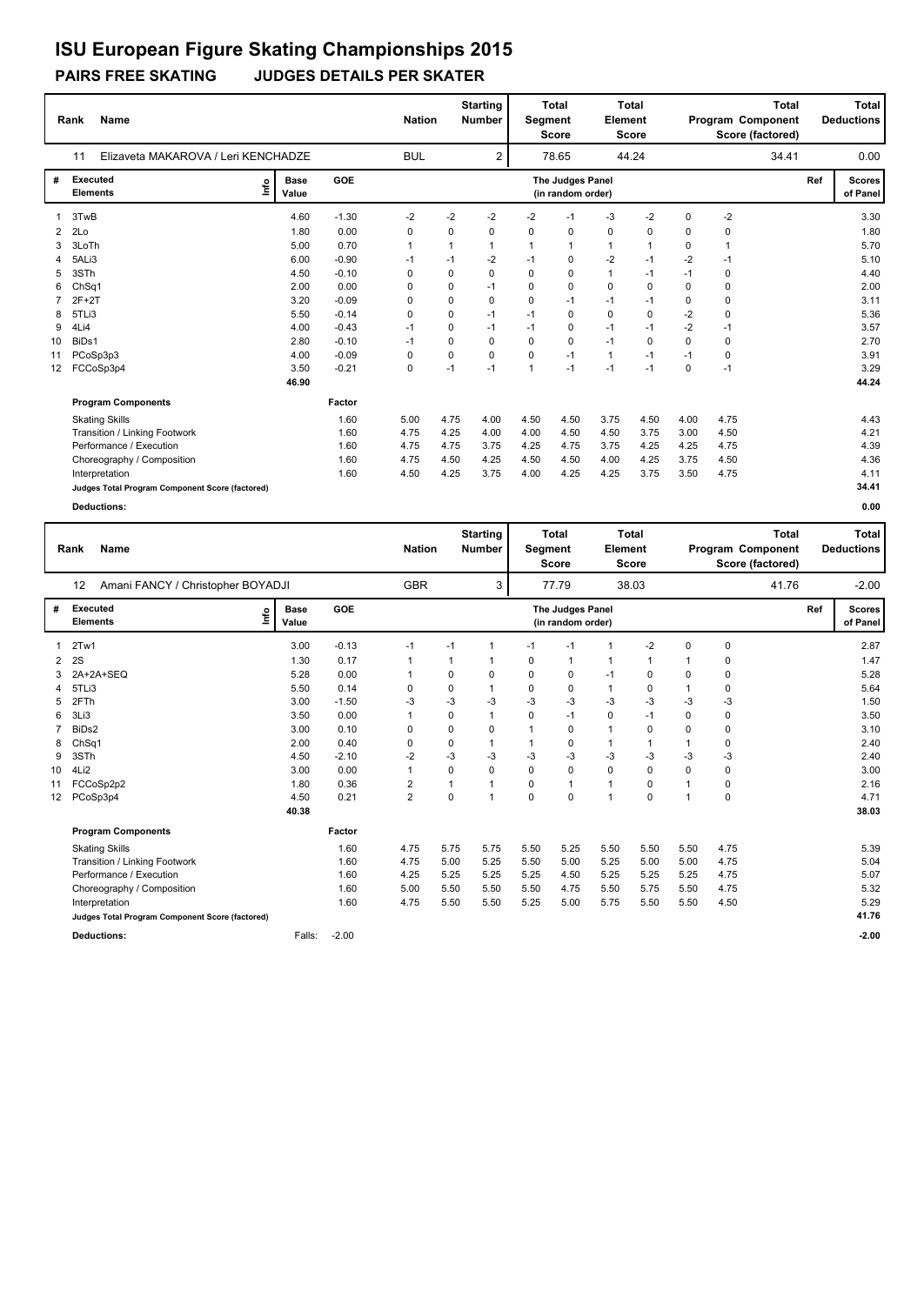### **PAIRS FREE SKATING JUDGES DETAILS PER SKATER**

|    | <b>Name</b><br>Rank                             |                      |         | <b>Nation</b> |      | <b>Starting</b><br><b>Number</b> | Segment      | Total<br><b>Score</b>                 | <b>Element</b> | <b>Total</b><br><b>Score</b> |             |             | Total<br>Program Component<br>Score (factored) |     | Total<br><b>Deductions</b> |
|----|-------------------------------------------------|----------------------|---------|---------------|------|----------------------------------|--------------|---------------------------------------|----------------|------------------------------|-------------|-------------|------------------------------------------------|-----|----------------------------|
|    | Elizaveta MAKAROVA / Leri KENCHADZE<br>11       |                      |         | <b>BUL</b>    |      | $\overline{2}$                   |              | 78.65                                 |                | 44.24                        |             |             | 34.41                                          |     | 0.00                       |
| #  | <b>Executed</b><br>lnfo<br><b>Elements</b>      | <b>Base</b><br>Value | GOE     |               |      |                                  |              | The Judges Panel<br>(in random order) |                |                              |             |             |                                                | Ref | <b>Scores</b><br>of Panel  |
|    | 3TwB                                            | 4.60                 | $-1.30$ | $-2$          | $-2$ | $-2$                             | $-2$         | $-1$                                  | $-3$           | $-2$                         | $\mathbf 0$ | $-2$        |                                                |     | 3.30                       |
| 2  | 2Lo                                             | 1.80                 | 0.00    | 0             | 0    | 0                                | $\Omega$     | 0                                     | 0              | 0                            | 0           | 0           |                                                |     | 1.80                       |
| 3  | 3LoTh                                           | 5.00                 | 0.70    | 1             | 1    |                                  | $\mathbf{1}$ | 1                                     | $\mathbf{1}$   | 1                            | 0           |             |                                                |     | 5.70                       |
| 4  | 5ALi3                                           | 6.00                 | $-0.90$ | $-1$          | $-1$ | $-2$                             | $-1$         | $\mathbf 0$                           | $-2$           | $-1$                         | $-2$        | $-1$        |                                                |     | 5.10                       |
| 5  | 3STh                                            | 4.50                 | $-0.10$ | 0             | 0    | 0                                | $\Omega$     | $\mathbf 0$                           | $\mathbf{1}$   | $-1$                         | $-1$        | $\mathbf 0$ |                                                |     | 4.40                       |
| 6  | ChSq1                                           | 2.00                 | 0.00    | 0             | 0    | $-1$                             | $\Omega$     | 0                                     | 0              | $\Omega$                     | 0           | $\mathbf 0$ |                                                |     | 2.00                       |
|    | $2F+2T$                                         | 3.20                 | $-0.09$ | 0             | 0    | 0                                | $\Omega$     | $-1$                                  | $-1$           | $-1$                         | 0           | $\mathbf 0$ |                                                |     | 3.11                       |
| 8  | 5TLi3                                           | 5.50                 | $-0.14$ | 0             | 0    | $-1$                             | $-1$         | $\mathbf 0$                           | $\mathbf 0$    | 0                            | $-2$        | $\mathbf 0$ |                                                |     | 5.36                       |
| 9  | 4Li4                                            | 4.00                 | $-0.43$ | $-1$          | 0    | $-1$                             | $-1$         | $\mathbf 0$                           | $-1$           | $-1$                         | $-2$        | $-1$        |                                                |     | 3.57                       |
| 10 | BiDs1                                           | 2.80                 | $-0.10$ | $-1$          | 0    | 0                                | $\Omega$     | $\mathbf 0$                           | $-1$           | $\Omega$                     | $\Omega$    | 0           |                                                |     | 2.70                       |
| 11 | PCoSp3p3                                        | 4.00                 | $-0.09$ | 0             | 0    | $\Omega$                         | $\Omega$     | $-1$                                  | $\mathbf{1}$   | $-1$                         | $-1$        | $\mathbf 0$ |                                                |     | 3.91                       |
| 12 | FCCoSp3p4                                       | 3.50                 | $-0.21$ | 0             | $-1$ | $-1$                             | $\mathbf{1}$ | $-1$                                  | $-1$           | $-1$                         | $\Omega$    | $-1$        |                                                |     | 3.29                       |
|    |                                                 | 46.90                |         |               |      |                                  |              |                                       |                |                              |             |             |                                                |     | 44.24                      |
|    | <b>Program Components</b>                       |                      | Factor  |               |      |                                  |              |                                       |                |                              |             |             |                                                |     |                            |
|    | <b>Skating Skills</b>                           |                      | 1.60    | 5.00          | 4.75 | 4.00                             | 4.50         | 4.50                                  | 3.75           | 4.50                         | 4.00        | 4.75        |                                                |     | 4.43                       |
|    | Transition / Linking Footwork                   |                      | 1.60    | 4.75          | 4.25 | 4.00                             | 4.00         | 4.50                                  | 4.50           | 3.75                         | 3.00        | 4.50        |                                                |     | 4.21                       |
|    | Performance / Execution                         |                      | 1.60    | 4.75          | 4.75 | 3.75                             | 4.25         | 4.75                                  | 3.75           | 4.25                         | 4.25        | 4.75        |                                                |     | 4.39                       |
|    | Choreography / Composition                      |                      | 1.60    | 4.75          | 4.50 | 4.25                             | 4.50         | 4.50                                  | 4.00           | 4.25                         | 3.75        | 4.50        |                                                |     | 4.36                       |
|    | Interpretation                                  |                      | 1.60    | 4.50          | 4.25 | 3.75                             | 4.00         | 4.25                                  | 4.25           | 3.75                         | 3.50        | 4.75        |                                                |     | 4.11                       |
|    | Judges Total Program Component Score (factored) |                      |         |               |      |                                  |              |                                       |                |                              |             |             |                                                |     | 34.41                      |

|                 | <b>Name</b><br>Rank                             |                      |            | <b>Nation</b>           |          | <b>Starting</b><br><b>Number</b> | <b>Segment</b> | <b>Total</b><br><b>Score</b>          | Element        | <b>Total</b><br><b>Score</b> |                |             | <b>Total</b><br>Program Component<br>Score (factored) |     | Total<br><b>Deductions</b> |
|-----------------|-------------------------------------------------|----------------------|------------|-------------------------|----------|----------------------------------|----------------|---------------------------------------|----------------|------------------------------|----------------|-------------|-------------------------------------------------------|-----|----------------------------|
|                 | Amani FANCY / Christopher BOYADJI<br>12         |                      |            | <b>GBR</b>              |          | 3                                |                | 77.79                                 |                | 38.03                        |                |             | 41.76                                                 |     | $-2.00$                    |
| #               | <b>Executed</b><br>lnfo<br><b>Elements</b>      | <b>Base</b><br>Value | <b>GOE</b> |                         |          |                                  |                | The Judges Panel<br>(in random order) |                |                              |                |             |                                                       | Ref | <b>Scores</b><br>of Panel  |
| 1               | 2Tw1                                            | 3.00                 | $-0.13$    | -1                      | $-1$     | 1                                | $-1$           | $-1$                                  | $\overline{1}$ | $-2$                         | $\mathbf 0$    | $\mathbf 0$ |                                                       |     | 2.87                       |
| 2               | <b>2S</b>                                       | 1.30                 | 0.17       | $\mathbf 1$             |          | 1                                | 0              | $\mathbf{1}$                          | $\mathbf 1$    | 1                            | -1             | 0           |                                                       |     | 1.47                       |
| 3               | 2A+2A+SEQ                                       | 5.28                 | 0.00       | 1                       | 0        | 0                                | 0              | 0                                     | $-1$           | 0                            | 0              | 0           |                                                       |     | 5.28                       |
| 4               | 5TLi3                                           | 5.50                 | 0.14       | 0                       | 0        |                                  | 0              | 0                                     | $\mathbf{1}$   | 0                            | 1              | 0           |                                                       |     | 5.64                       |
| 5               | 2FTh                                            | 3.00                 | $-1.50$    | -3                      | $-3$     | -3                               | -3             | $-3$                                  | $-3$           | $-3$                         | -3             | $-3$        |                                                       |     | 1.50                       |
| 6               | 3Li3                                            | 3.50                 | 0.00       | 1                       | 0        | 1                                | 0              | $-1$                                  | $\mathbf 0$    | $-1$                         | $\Omega$       | 0           |                                                       |     | 3.50                       |
| 7               | BiDs2                                           | 3.00                 | 0.10       | 0                       | 0        | 0                                | $\mathbf 1$    | 0                                     | $\mathbf{1}$   | $\Omega$                     | $\Omega$       | 0           |                                                       |     | 3.10                       |
| 8               | Ch <sub>Sq1</sub>                               | 2.00                 | 0.40       | $\Omega$                | 0        | 1                                | 1              | 0                                     | $\mathbf{1}$   | 1                            | $\mathbf{1}$   | 0           |                                                       |     | 2.40                       |
| 9               | 3STh                                            | 4.50                 | $-2.10$    | $-2$                    | $-3$     | $-3$                             | $-3$           | $-3$                                  | $-3$           | $-3$                         | -3             | $-3$        |                                                       |     | 2.40                       |
| 10              | 4Li2                                            | 3.00                 | 0.00       | 1                       | $\Omega$ | 0                                | $\Omega$       | $\mathbf 0$                           | $\mathbf 0$    | $\Omega$                     | $\Omega$       | 0           |                                                       |     | 3.00                       |
| 11              | FCCoSp2p2                                       | 1.80                 | 0.36       | $\overline{\mathbf{c}}$ |          | 1                                | 0              | $\mathbf{1}$                          | $\mathbf{1}$   | 0                            |                | 0           |                                                       |     | 2.16                       |
| 12 <sup>°</sup> | PCoSp3p4                                        | 4.50                 | 0.21       | $\overline{2}$          | $\Omega$ | 1                                | 0              | $\mathbf 0$                           | $\overline{1}$ | $\Omega$                     | $\overline{1}$ | $\mathbf 0$ |                                                       |     | 4.71                       |
|                 |                                                 | 40.38                |            |                         |          |                                  |                |                                       |                |                              |                |             |                                                       |     | 38.03                      |
|                 | <b>Program Components</b>                       |                      | Factor     |                         |          |                                  |                |                                       |                |                              |                |             |                                                       |     |                            |
|                 | <b>Skating Skills</b>                           |                      | 1.60       | 4.75                    | 5.75     | 5.75                             | 5.50           | 5.25                                  | 5.50           | 5.50                         | 5.50           | 4.75        |                                                       |     | 5.39                       |
|                 | Transition / Linking Footwork                   |                      | 1.60       | 4.75                    | 5.00     | 5.25                             | 5.50           | 5.00                                  | 5.25           | 5.00                         | 5.00           | 4.75        |                                                       |     | 5.04                       |
|                 | Performance / Execution                         |                      | 1.60       | 4.25                    | 5.25     | 5.25                             | 5.25           | 4.50                                  | 5.25           | 5.25                         | 5.25           | 4.75        |                                                       |     | 5.07                       |
|                 | Choreography / Composition                      |                      | 1.60       | 5.00                    | 5.50     | 5.50                             | 5.50           | 4.75                                  | 5.50           | 5.75                         | 5.50           | 4.75        |                                                       |     | 5.32                       |
|                 | Interpretation                                  |                      | 1.60       | 4.75                    | 5.50     | 5.50                             | 5.25           | 5.00                                  | 5.75           | 5.50                         | 5.50           | 4.50        |                                                       |     | 5.29                       |
|                 | Judges Total Program Component Score (factored) |                      |            |                         |          |                                  |                |                                       |                |                              |                |             |                                                       |     | 41.76                      |
|                 | <b>Deductions:</b>                              | Falls:               | $-2.00$    |                         |          |                                  |                |                                       |                |                              |                |             |                                                       |     | $-2.00$                    |